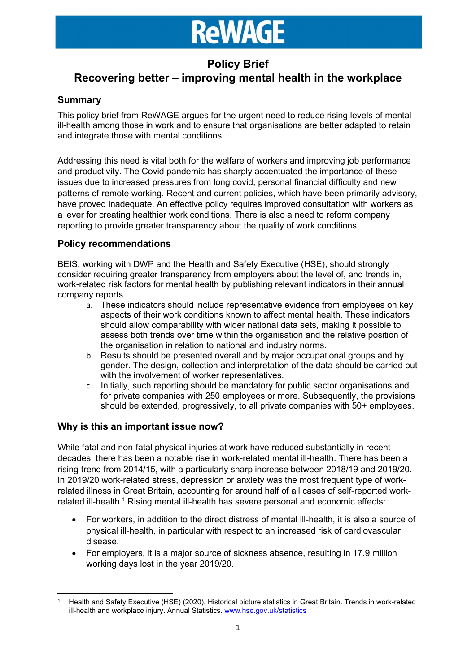### Policy Brief

### Recovering better – improving mental health in the workplace

### Summary

This policy brief from ReWAGE argues for the urgent need to reduce rising levels of mental ill-health among those in work and to ensure that organisations are better adapted to retain and integrate those with mental conditions.

Addressing this need is vital both for the welfare of workers and improving job performance and productivity. The Covid pandemic has sharply accentuated the importance of these issues due to increased pressures from long covid, personal financial difficulty and new patterns of remote working. Recent and current policies, which have been primarily advisory, have proved inadequate. An effective policy requires improved consultation with workers as a lever for creating healthier work conditions. There is also a need to reform company reporting to provide greater transparency about the quality of work conditions.

### Policy recommendations

BEIS, working with DWP and the Health and Safety Executive (HSE), should strongly consider requiring greater transparency from employers about the level of, and trends in, work-related risk factors for mental health by publishing relevant indicators in their annual company reports.

- a. These indicators should include representative evidence from employees on key aspects of their work conditions known to affect mental health. These indicators should allow comparability with wider national data sets, making it possible to assess both trends over time within the organisation and the relative position of the organisation in relation to national and industry norms.
- b. Results should be presented overall and by major occupational groups and by gender. The design, collection and interpretation of the data should be carried out with the involvement of worker representatives.
- c. Initially, such reporting should be mandatory for public sector organisations and for private companies with 250 employees or more. Subsequently, the provisions should be extended, progressively, to all private companies with 50+ employees.

### Why is this an important issue now?

While fatal and non-fatal physical injuries at work have reduced substantially in recent decades, there has been a notable rise in work-related mental ill-health. There has been a rising trend from 2014/15, with a particularly sharp increase between 2018/19 and 2019/20. In 2019/20 work-related stress, depression or anxiety was the most frequent type of workrelated illness in Great Britain, accounting for around half of all cases of self-reported workrelated ill-health.<sup>1</sup> Rising mental ill-health has severe personal and economic effects:

- For workers, in addition to the direct distress of mental ill-health, it is also a source of physical ill-health, in particular with respect to an increased risk of cardiovascular disease.
- For employers, it is a major source of sickness absence, resulting in 17.9 million working days lost in the year 2019/20.

<sup>1</sup> Health and Safety Executive (HSE) (2020). Historical picture statistics in Great Britain. Trends in work-related ill-health and workplace injury. Annual Statistics. www.hse.gov.uk/statistics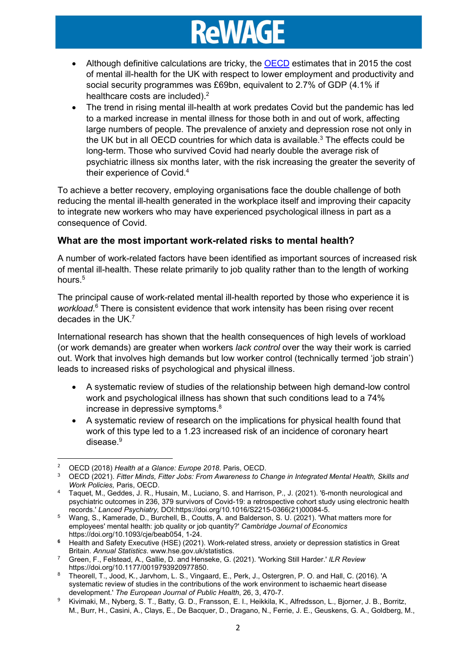- Although definitive calculations are tricky, the OECD estimates that in 2015 the cost of mental ill-health for the UK with respect to lower employment and productivity and social security programmes was £69bn, equivalent to 2.7% of GDP (4.1% if healthcare costs are included).<sup>2</sup>
- The trend in rising mental ill-health at work predates Covid but the pandemic has led to a marked increase in mental illness for those both in and out of work, affecting large numbers of people. The prevalence of anxiety and depression rose not only in the UK but in all OECD countries for which data is available. $3$  The effects could be long-term. Those who survived Covid had nearly double the average risk of psychiatric illness six months later, with the risk increasing the greater the severity of their experience of Covid.<sup>4</sup>

To achieve a better recovery, employing organisations face the double challenge of both reducing the mental ill-health generated in the workplace itself and improving their capacity to integrate new workers who may have experienced psychological illness in part as a consequence of Covid.

### What are the most important work-related risks to mental health?

A number of work-related factors have been identified as important sources of increased risk of mental ill-health. These relate primarily to job quality rather than to the length of working hours.<sup>5</sup>

The principal cause of work-related mental ill-health reported by those who experience it is workload.<sup>6</sup> There is consistent evidence that work intensity has been rising over recent decades in the UK.<sup>7</sup>

International research has shown that the health consequences of high levels of workload (or work demands) are greater when workers lack control over the way their work is carried out. Work that involves high demands but low worker control (technically termed 'job strain') leads to increased risks of psychological and physical illness.

- A systematic review of studies of the relationship between high demand-low control work and psychological illness has shown that such conditions lead to a 74% increase in depressive symptoms.<sup>8</sup>
- A systematic review of research on the implications for physical health found that work of this type led to a 1.23 increased risk of an incidence of coronary heart disease. $^9$

<sup>&</sup>lt;sup>2</sup> OECD (2018) Health at a Glance: Europe 2018. Paris, OECD.

<sup>&</sup>lt;sup>3</sup> OECD (2021). Fitter Minds, Fitter Jobs: From Awareness to Change in Integrated Mental Health, Skills and Work Policies, Paris, OECD.

<sup>4</sup> Taquet, M., Geddes, J. R., Husain, M., Luciano, S. and Harrison, P., J. (2021). '6-month neurological and psychiatric outcomes in 236, 379 survivors of Covid-19: a retrospective cohort study using electronic health records.' Lanced Psychiatry, DOI:https://doi.org/10.1016/S2215-0366(21)00084-5.

<sup>5</sup> Wang, S., Kamerade, D., Burchell, B., Coutts, A. and Balderson, S. U. (2021). 'What matters more for employees' mental health: job quality or job quantity?' Cambridge Journal of Economics https://doi.org/10.1093/cje/beab054, 1-24.

<sup>6</sup> Health and Safety Executive (HSE) (2021). Work-related stress, anxiety or depression statistics in Great Britain. Annual Statistics. www.hse.gov.uk/statistics.

 $^7$  Green, F., Felstead, A., Gallie, D. and Henseke, G. (2021). 'Working Still Harder.' *ILR Review* https://doi.org/10.1177/0019793920977850.

<sup>8</sup> Theorell, T., Jood, K., Jarvhom, L. S., Vingaard, E., Perk, J., Ostergren, P. O. and Hall, C. (2016). 'A systematic review of studies in the contributions of the work environment to ischaemic heart disease development.' The European Journal of Public Health, 26, 3, 470-7.

<sup>9</sup> Kivimaki, M., Nyberg, S. T., Batty, G. D., Fransson, E. I., Heikkila, K., Alfredsson, L., Bjorner, J. B., Borritz, M., Burr, H., Casini, A., Clays, E., De Bacquer, D., Dragano, N., Ferrie, J. E., Geuskens, G. A., Goldberg, M.,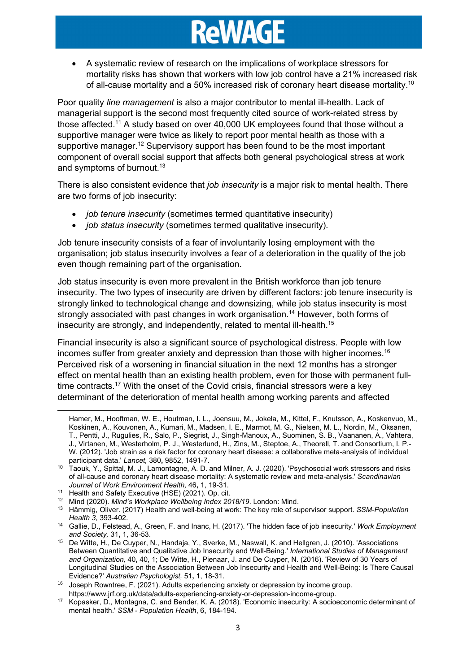A systematic review of research on the implications of workplace stressors for mortality risks has shown that workers with low job control have a 21% increased risk of all-cause mortality and a 50% increased risk of coronary heart disease mortality.<sup>10</sup>

Poor quality line management is also a major contributor to mental ill-health. Lack of managerial support is the second most frequently cited source of work-related stress by those affected.<sup>11</sup> A study based on over 40,000 UK employees found that those without a supportive manager were twice as likely to report poor mental health as those with a supportive manager.<sup>12</sup> Supervisory support has been found to be the most important component of overall social support that affects both general psychological stress at work and symptoms of burnout.<sup>13</sup>

There is also consistent evidence that *job insecurity* is a major risk to mental health. There are two forms of job insecurity:

- *job tenure insecurity* (sometimes termed quantitative insecurity)
- *job status insecurity* (sometimes termed qualitative insecurity).

Job tenure insecurity consists of a fear of involuntarily losing employment with the organisation; job status insecurity involves a fear of a deterioration in the quality of the job even though remaining part of the organisation.

Job status insecurity is even more prevalent in the British workforce than job tenure insecurity. The two types of insecurity are driven by different factors: job tenure insecurity is strongly linked to technological change and downsizing, while job status insecurity is most strongly associated with past changes in work organisation.<sup>14</sup> However, both forms of insecurity are strongly, and independently, related to mental ill-health.<sup>15</sup>

Financial insecurity is also a significant source of psychological distress. People with low incomes suffer from greater anxiety and depression than those with higher incomes.<sup>16</sup> Perceived risk of a worsening in financial situation in the next 12 months has a stronger effect on mental health than an existing health problem, even for those with permanent fulltime contracts.<sup>17</sup> With the onset of the Covid crisis, financial stressors were a key determinant of the deterioration of mental health among working parents and affected

Hamer, M., Hooftman, W. E., Houtman, I. L., Joensuu, M., Jokela, M., Kittel, F., Knutsson, A., Koskenvuo, M., Koskinen, A., Kouvonen, A., Kumari, M., Madsen, I. E., Marmot, M. G., Nielsen, M. L., Nordin, M., Oksanen, T., Pentti, J., Rugulies, R., Salo, P., Siegrist, J., Singh-Manoux, A., Suominen, S. B., Vaananen, A., Vahtera, J., Virtanen, M., Westerholm, P. J., Westerlund, H., Zins, M., Steptoe, A., Theorell, T. and Consortium, I. P.- W. (2012). 'Job strain as a risk factor for coronary heart disease: a collaborative meta-analysis of individual participant data.' Lancet, 380, 9852, 1491-7.

<sup>10</sup> Taouk, Y., Spittal, M. J., Lamontagne, A. D. and Milner, A. J. (2020). 'Psychosocial work stressors and risks of all-cause and coronary heart disease mortality: A systematic review and meta-analysis.' Scandinavian Journal of Work Environment Health, 46, 1, 19-31.

<sup>11</sup> Health and Safety Executive (HSE) (2021). Op. cit.

<sup>&</sup>lt;sup>12</sup> Mind (2020). Mind's Workplace Wellbeing Index 2018/19. London: Mind.

<sup>&</sup>lt;sup>13</sup> Hämmig, Oliver. (2017) Health and well-being at work: The key role of supervisor support. SSM-Population Health 3, 393-402.

<sup>&</sup>lt;sup>14</sup> Gallie, D., Felstead, A., Green, F. and Inanc, H. (2017). 'The hidden face of job insecurity.' Work Employment and Society, 31, 1, 36-53.

<sup>15</sup> De Witte, H., De Cuyper, N., Handaja, Y., Sverke, M., Naswall, K. and Hellgren, J. (2010). 'Associations Between Quantitative and Qualitative Job Insecurity and Well-Being.' International Studies of Management and Organization, 40, 40, 1; De Witte, H., Pienaar, J. and De Cuyper, N. (2016). 'Review of 30 Years of Longitudinal Studies on the Association Between Job Insecurity and Health and Well-Being: Is There Causal Evidence?' Australian Psychologist, 51, 1, 18-31.

<sup>&</sup>lt;sup>16</sup> Joseph Rowntree, F. (2021). Adults experiencing anxiety or depression by income group. https://www.jrf.org.uk/data/adults-experiencing-anxiety-or-depression-income-group.

<sup>17</sup> Kopasker, D., Montagna, C. and Bender, K. A. (2018). 'Economic insecurity: A socioeconomic determinant of mental health.' SSM - Population Health, 6, 184-194.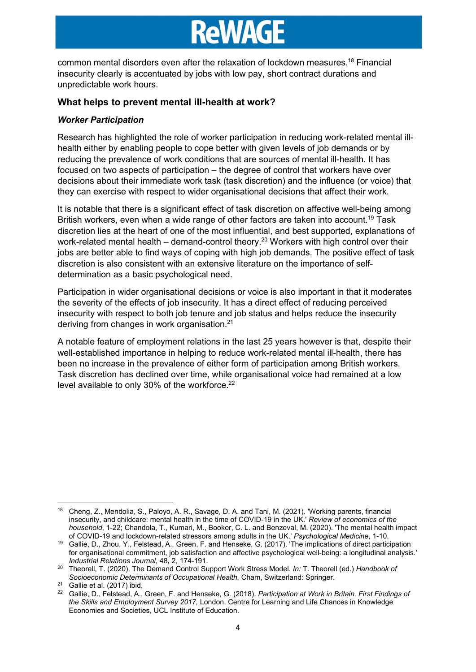common mental disorders even after the relaxation of lockdown measures.<sup>18</sup> Financial insecurity clearly is accentuated by jobs with low pay, short contract durations and unpredictable work hours.

### What helps to prevent mental ill-health at work?

#### Worker Participation

Research has highlighted the role of worker participation in reducing work-related mental illhealth either by enabling people to cope better with given levels of job demands or by reducing the prevalence of work conditions that are sources of mental ill-health. It has focused on two aspects of participation – the degree of control that workers have over decisions about their immediate work task (task discretion) and the influence (or voice) that they can exercise with respect to wider organisational decisions that affect their work.

It is notable that there is a significant effect of task discretion on affective well-being among British workers, even when a wide range of other factors are taken into account.<sup>19</sup> Task discretion lies at the heart of one of the most influential, and best supported, explanations of work-related mental health – demand-control theory.<sup>20</sup> Workers with high control over their jobs are better able to find ways of coping with high job demands. The positive effect of task discretion is also consistent with an extensive literature on the importance of selfdetermination as a basic psychological need.

Participation in wider organisational decisions or voice is also important in that it moderates the severity of the effects of job insecurity. It has a direct effect of reducing perceived insecurity with respect to both job tenure and job status and helps reduce the insecurity deriving from changes in work organisation.<sup>21</sup>

A notable feature of employment relations in the last 25 years however is that, despite their well-established importance in helping to reduce work-related mental ill-health, there has been no increase in the prevalence of either form of participation among British workers. Task discretion has declined over time, while organisational voice had remained at a low level available to only 30% of the workforce.<sup>22</sup>

<sup>18</sup> Cheng, Z., Mendolia, S., Paloyo, A. R., Savage, D. A. and Tani, M. (2021). 'Working parents, financial insecurity, and childcare: mental health in the time of COVID-19 in the UK.' Review of economics of the household, 1-22; Chandola, T., Kumari, M., Booker, C. L. and Benzeval, M. (2020). 'The mental health impact of COVID-19 and lockdown-related stressors among adults in the UK.' Psychological Medicine, 1-10.

<sup>19</sup> Gallie, D., Zhou, Y., Felstead, A., Green, F. and Henseke, G. (2017). 'The implications of direct participation for organisational commitment, job satisfaction and affective psychological well-being: a longitudinal analysis.' Industrial Relations Journal, 48, 2, 174-191.

<sup>&</sup>lt;sup>20</sup> Theorell, T. (2020). The Demand Control Support Work Stress Model. In: T. Theorell (ed.) Handbook of Socioeconomic Determinants of Occupational Health. Cham, Switzerland: Springer.

<sup>21</sup> Gallie et al. (2017) ibid,

<sup>&</sup>lt;sup>22</sup> Gallie, D., Felstead, A., Green, F. and Henseke, G. (2018). Participation at Work in Britain. First Findings of the Skills and Employment Survey 2017, London, Centre for Learning and Life Chances in Knowledge Economies and Societies, UCL Institute of Education.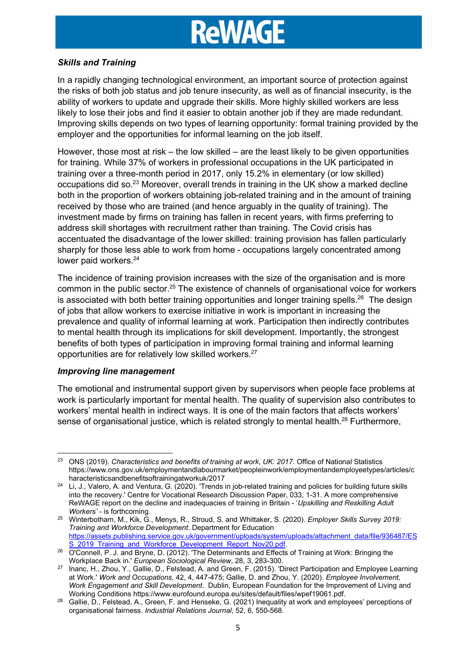#### Skills and Training

In a rapidly changing technological environment, an important source of protection against the risks of both job status and job tenure insecurity, as well as of financial insecurity, is the ability of workers to update and upgrade their skills. More highly skilled workers are less likely to lose their jobs and find it easier to obtain another job if they are made redundant. Improving skills depends on two types of learning opportunity: formal training provided by the employer and the opportunities for informal learning on the job itself.

However, those most at risk – the low skilled – are the least likely to be given opportunities for training. While 37% of workers in professional occupations in the UK participated in training over a three-month period in 2017, only 15.2% in elementary (or low skilled) occupations did so.<sup>23</sup> Moreover, overall trends in training in the UK show a marked decline both in the proportion of workers obtaining job-related training and in the amount of training received by those who are trained (and hence arguably in the quality of training). The investment made by firms on training has fallen in recent years, with firms preferring to address skill shortages with recruitment rather than training. The Covid crisis has accentuated the disadvantage of the lower skilled: training provision has fallen particularly sharply for those less able to work from home - occupations largely concentrated among lower paid workers.<sup>24</sup>

The incidence of training provision increases with the size of the organisation and is more common in the public sector.<sup>25</sup> The existence of channels of organisational voice for workers is associated with both better training opportunities and longer training spells.<sup>26</sup> The design of jobs that allow workers to exercise initiative in work is important in increasing the prevalence and quality of informal learning at work. Participation then indirectly contributes to mental health through its implications for skill development. Importantly, the strongest benefits of both types of participation in improving formal training and informal learning opportunities are for relatively low skilled workers.<sup>27</sup>

#### Improving line management

The emotional and instrumental support given by supervisors when people face problems at work is particularly important for mental health. The quality of supervision also contributes to workers' mental health in indirect ways. It is one of the main factors that affects workers' sense of organisational justice, which is related strongly to mental health.<sup>28</sup> Furthermore,

<sup>&</sup>lt;sup>23</sup> ONS (2019). Characteristics and benefits of training at work, UK: 2017. Office of National Statistics https://www.ons.gov.uk/employmentandlabourmarket/peopleinwork/employmentandemployeetypes/articles/c haracteristicsandbenefitsoftrainingatworkuk/2017

 $24$  Li, J., Valero, A. and Ventura, G. (2020). 'Trends in job-related training and policies for building future skills into the recovery.' Centre for Vocational Research Discussion Paper, 033, 1-31. A more comprehensive ReWAGE report on the decline and inadequacies of training in Britain - 'Upskilling and Reskilling Adult Workers' - is forthcoming.

<sup>&</sup>lt;sup>25</sup> Winterbotham, M., Kik, G., Menys, R., Stroud, S. and Whittaker, S. (2020). Employer Skills Survey 2019: Training and Workforce Development. Department for Education https://assets.publishing.service.gov.uk/government/uploads/system/uploads/attachment\_data/file/936487/ES S 2019 Training and Workforce Development Report Nov20.pdf.

<sup>26</sup> O'Connell, P. J. and Bryne, D. (2012). 'The Determinants and Effects of Training at Work: Bringing the Workplace Back in.' European Sociological Review, 28, 3, 283-300.

<sup>27</sup> Inanc, H., Zhou, Y., Gallie, D., Felstead, A. and Green, F. (2015). 'Direct Participation and Employee Learning at Work.' Work and Occupations, 42, 4, 447-475; Gallie, D. and Zhou, Y. (2020). Employee Involvement, Work Engagement and Skill Development. Dublin, European Foundation for the Improvement of Living and Working Conditions https://www.eurofound.europa.eu/sites/default/files/wpef19061.pdf.

<sup>28</sup> Gallie, D., Felstead, A., Green, F. and Henseke, G. (2021) Inequality at work and employees' perceptions of organisational fairness. Industrial Relations Journal, 52, 6, 550-568.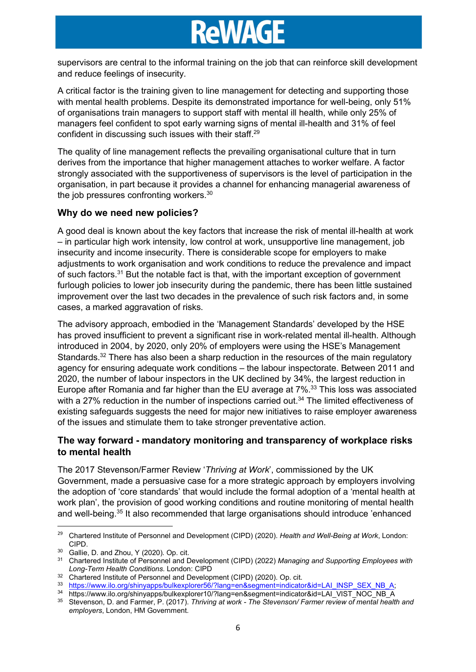supervisors are central to the informal training on the job that can reinforce skill development and reduce feelings of insecurity.

A critical factor is the training given to line management for detecting and supporting those with mental health problems. Despite its demonstrated importance for well-being, only 51% of organisations train managers to support staff with mental ill health, while only 25% of managers feel confident to spot early warning signs of mental ill-health and 31% of feel confident in discussing such issues with their staff.<sup>29</sup>

The quality of line management reflects the prevailing organisational culture that in turn derives from the importance that higher management attaches to worker welfare. A factor strongly associated with the supportiveness of supervisors is the level of participation in the organisation, in part because it provides a channel for enhancing managerial awareness of the job pressures confronting workers.<sup>30</sup>

### Why do we need new policies?

A good deal is known about the key factors that increase the risk of mental ill-health at work – in particular high work intensity, low control at work, unsupportive line management, job insecurity and income insecurity. There is considerable scope for employers to make adjustments to work organisation and work conditions to reduce the prevalence and impact of such factors.<sup>31</sup> But the notable fact is that, with the important exception of government furlough policies to lower job insecurity during the pandemic, there has been little sustained improvement over the last two decades in the prevalence of such risk factors and, in some cases, a marked aggravation of risks.

The advisory approach, embodied in the 'Management Standards' developed by the HSE has proved insufficient to prevent a significant rise in work-related mental ill-health. Although introduced in 2004, by 2020, only 20% of employers were using the HSE's Management Standards.<sup>32</sup> There has also been a sharp reduction in the resources of the main regulatory agency for ensuring adequate work conditions – the labour inspectorate. Between 2011 and 2020, the number of labour inspectors in the UK declined by 34%, the largest reduction in Europe after Romania and far higher than the EU average at 7%.<sup>33</sup> This loss was associated with a 27% reduction in the number of inspections carried out.<sup>34</sup> The limited effectiveness of existing safeguards suggests the need for major new initiatives to raise employer awareness of the issues and stimulate them to take stronger preventative action.

### The way forward - mandatory monitoring and transparency of workplace risks to mental health

The 2017 Stevenson/Farmer Review 'Thriving at Work', commissioned by the UK Government, made a persuasive case for a more strategic approach by employers involving the adoption of 'core standards' that would include the formal adoption of a 'mental health at work plan', the provision of good working conditions and routine monitoring of mental health and well-being.<sup>35</sup> It also recommended that large organisations should introduce 'enhanced

<sup>&</sup>lt;sup>29</sup> Chartered Institute of Personnel and Development (CIPD) (2020). Health and Well-Being at Work, London: CIPD.

 $30$  Gallie, D. and Zhou, Y (2020). Op. cit.<br> $31$  Chartered Institute of Personnal and E

Chartered Institute of Personnel and Development (CIPD) (2022) Managing and Supporting Employees with Long-Term Health Conditions. London: CIPD

<sup>&</sup>lt;sup>32</sup> Chartered Institute of Personnel and Development (CIPD) (2020). Op. cit.

<sup>33</sup> https://www.ilo.org/shinyapps/bulkexplorer56/?lang=en&segment=indicator&id=LAI\_INSP\_SEX\_NB\_A;

<sup>&</sup>lt;sup>34</sup> https://www.ilo.org/shinyapps/bulkexplorer10/?lang=en&segment=indicator&id=LAI\_VIST\_NOC\_NB\_A<br><sup>35</sup> Stevensen, D. and Fermer, B. (2017), Thriving at werk. The Stevensen (Fermer review of mental booth

Stevenson, D. and Farmer, P. (2017). Thriving at work - The Stevenson/ Farmer review of mental health and employers, London, HM Government.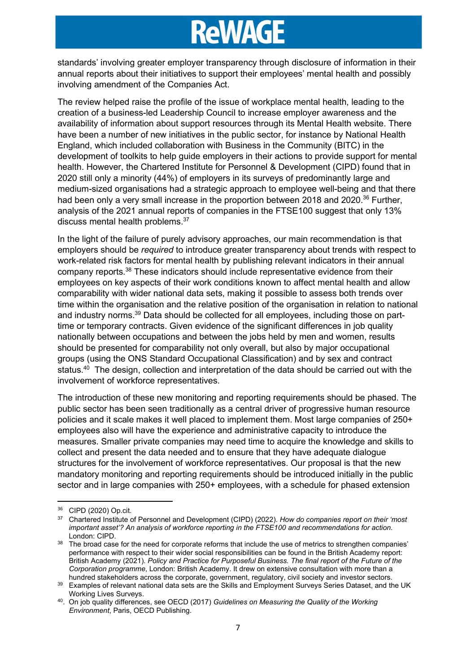standards' involving greater employer transparency through disclosure of information in their annual reports about their initiatives to support their employees' mental health and possibly involving amendment of the Companies Act.

The review helped raise the profile of the issue of workplace mental health, leading to the creation of a business-led Leadership Council to increase employer awareness and the availability of information about support resources through its Mental Health website. There have been a number of new initiatives in the public sector, for instance by National Health England, which included collaboration with Business in the Community (BITC) in the development of toolkits to help guide employers in their actions to provide support for mental health. However, the Chartered Institute for Personnel & Development (CIPD) found that in 2020 still only a minority (44%) of employers in its surveys of predominantly large and medium-sized organisations had a strategic approach to employee well-being and that there had been only a very small increase in the proportion between 2018 and 2020.<sup>36</sup> Further, analysis of the 2021 annual reports of companies in the FTSE100 suggest that only 13% discuss mental health problems.<sup>37</sup>

In the light of the failure of purely advisory approaches, our main recommendation is that employers should be required to introduce greater transparency about trends with respect to work-related risk factors for mental health by publishing relevant indicators in their annual company reports.<sup>38</sup> These indicators should include representative evidence from their employees on key aspects of their work conditions known to affect mental health and allow comparability with wider national data sets, making it possible to assess both trends over time within the organisation and the relative position of the organisation in relation to national and industry norms.<sup>39</sup> Data should be collected for all employees, including those on parttime or temporary contracts. Given evidence of the significant differences in job quality nationally between occupations and between the jobs held by men and women, results should be presented for comparability not only overall, but also by major occupational groups (using the ONS Standard Occupational Classification) and by sex and contract status.<sup>40</sup> The design, collection and interpretation of the data should be carried out with the involvement of workforce representatives.

The introduction of these new monitoring and reporting requirements should be phased. The public sector has been seen traditionally as a central driver of progressive human resource policies and it scale makes it well placed to implement them. Most large companies of 250+ employees also will have the experience and administrative capacity to introduce the measures. Smaller private companies may need time to acquire the knowledge and skills to collect and present the data needed and to ensure that they have adequate dialogue structures for the involvement of workforce representatives. Our proposal is that the new mandatory monitoring and reporting requirements should be introduced initially in the public sector and in large companies with 250+ employees, with a schedule for phased extension

<sup>36</sup> CIPD (2020) Op.cit.

<sup>&</sup>lt;sup>37</sup> Chartered Institute of Personnel and Development (CIPD) (2022). How do companies report on their 'most important asset'? An analysis of workforce reporting in the FTSE100 and recommendations for action. London: CIPD.

<sup>&</sup>lt;sup>38</sup> The broad case for the need for corporate reforms that include the use of metrics to strengthen companies' performance with respect to their wider social responsibilities can be found in the British Academy report: British Academy (2021). Policy and Practice for Purposeful Business. The final report of the Future of the Corporation programme, London: British Academy. It drew on extensive consultation with more than a hundred stakeholders across the corporate, government, regulatory, civil society and investor sectors.

<sup>&</sup>lt;sup>39</sup> Examples of relevant national data sets are the Skills and Employment Surveys Series Dataset, and the UK Working Lives Surveys.

<sup>40.</sup> On job quality differences, see OECD (2017) Guidelines on Measuring the Quality of the Working Environment, Paris, OECD Publishing.